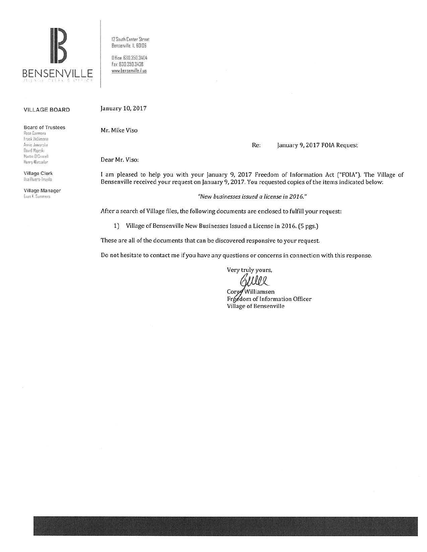

12 South Center Street Bensenville, IL SOI06

0 Hice. 630.350.3404 far 630.350 343B www.bensenville.il.us

## VILLAGE BOARD

Board of Trustees

Rosa Carmona Frank DeSimone  $Annie Jaworska$ David Majeski Martin D'Connell Henry Wesseler

Village Clerk Ilsa Rivera· ln1plln

Village Manager **Evan K. Summers** 

January 10, 2017

Mr. Mike Viso

Re: January 9, 2017 FOIA Request

Dear Mr. Viso:

I am pleased to help you with your January 9, 2017 Freedom of Information Act ("FOIA"). The Village of Bensenville received your request on January 9, 2017. You requested copies of the items indicated below:

*"New businesses issued a license in 2016."* 

After a search of Village files, the following documents are enclosed to fulfill your request:

1) Village of Bensenville New Businesses Issued a License in 2016. (S pgs,)

These are all of the documents that can be discovered responsive to your request.

Do not hesitate to contact me if you have any questions or concerns in connection with this response.

Very truly yours,

Ellel

Corey Williamsen Freedom of Information Officer Village of Bensenville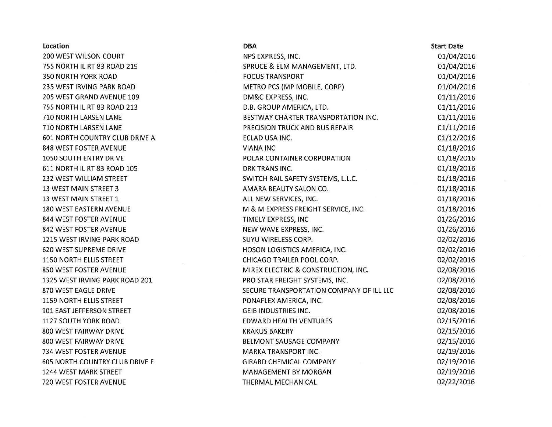| Location                       | <b>DBA</b>                               | <b>Start Date</b> |
|--------------------------------|------------------------------------------|-------------------|
| 200 WEST WILSON COURT          | NPS EXPRESS, INC.                        | 01/04/2016        |
| 755 NORTH IL RT 83 ROAD 219    | SPRUCE & ELM MANAGEMENT, LTD.            | 01/04/2016        |
| 350 NORTH YORK ROAD            | <b>FOCUS TRANSPORT</b>                   | 01/04/2016        |
| 235 WEST IRVING PARK ROAD      | METRO PCS (MP MOBILE, CORP)              | 01/04/2016        |
| 205 WEST GRAND AVENUE 109      | DM&C EXPRESS, INC.                       | 01/11/2016        |
| 755 NORTH IL RT 83 ROAD 213    | D.B. GROUP AMERICA, LTD.                 | 01/11/2016        |
| 710 NORTH LARSEN LANE          | BESTWAY CHARTER TRANSPORTATION INC.      | 01/11/2016        |
| 710 NORTH LARSEN LANE          | PRECISION TRUCK AND BUS REPAIR           | 01/11/2016        |
| 601 NORTH COUNTRY CLUB DRIVE A | ECLAD USA INC.                           | 01/12/2016        |
| 848 WEST FOSTER AVENUE         | <b>VIANA INC</b>                         | 01/18/2016        |
| 1050 SOUTH ENTRY DRIVE         | POLAR CONTAINER CORPORATION              | 01/18/2016        |
| 611 NORTH IL RT 83 ROAD 105    | DRK TRANS INC.                           | 01/18/2016        |
| 232 WEST WILLIAM STREET        | SWITCH RAIL SAFETY SYSTEMS, L.L.C.       | 01/18/2016        |
| 13 WEST MAIN STREET 3          | AMARA BEAUTY SALON CO.                   | 01/18/2016        |
| 13 WEST MAIN STREET 1          | ALL NEW SERVICES, INC.                   | 01/18/2016        |
| 180 WEST EASTERN AVENUE        | M & M EXPRESS FREIGHT SERVICE, INC.      | 01/18/2016        |
| 844 WEST FOSTER AVENUE         | TIMELY EXPRESS, INC                      | 01/26/2016        |
| 842 WEST FOSTER AVENUE         | NEW WAVE EXPRESS, INC.                   | 01/26/2016        |
| 1215 WEST IRVING PARK ROAD     | SUYU WIRELESS CORP.                      | 02/02/2016        |
| <b>620 WEST SUPREME DRIVE</b>  | HOSON LOGISTICS AMERICA, INC.            | 02/02/2016        |
| 1150 NORTH ELLIS STREET        | CHICAGO TRAILER POOL CORP.               | 02/02/2016        |
| 850 WEST FOSTER AVENUE         | MIREX ELECTRIC & CONSTRUCTION, INC.      | 02/08/2016        |
| 1325 WEST IRVING PARK ROAD 201 | PRO STAR FREIGHT SYSTEMS, INC.           | 02/08/2016        |
| 870 WEST EAGLE DRIVE           | SECURE TRANSPORTATION COMPANY OF ILL LLC | 02/08/2016        |
| 1159 NORTH ELLIS STREET        | PONAFLEX AMERICA, INC.                   | 02/08/2016        |
| 901 EAST JEFFERSON STREET      | <b>GEIB INDUSTRIES INC.</b>              | 02/08/2016        |
| 1127 SOUTH YORK ROAD           | <b>EDWARD HEALTH VENTURES</b>            | 02/15/2016        |
| 800 WEST FAIRWAY DRIVE         | <b>KRAKUS BAKERY</b>                     | 02/15/2016        |
| 800 WEST FAIRWAY DRIVE         | <b>BELMONT SAUSAGE COMPANY</b>           | 02/15/2016        |
| 734 WEST FOSTER AVENUE         | MARKA TRANSPORT INC.                     | 02/19/2016        |
| 605 NORTH COUNTRY CLUB DRIVE F | <b>GIRARD CHEMICAL COMPANY</b>           | 02/19/2016        |
| 1244 WEST MARK STREET          | MANAGEMENT BY MORGAN                     | 02/19/2016        |
| 720 WEST FOSTER AVENUE         | THERMAL MECHANICAL                       | 02/22/2016        |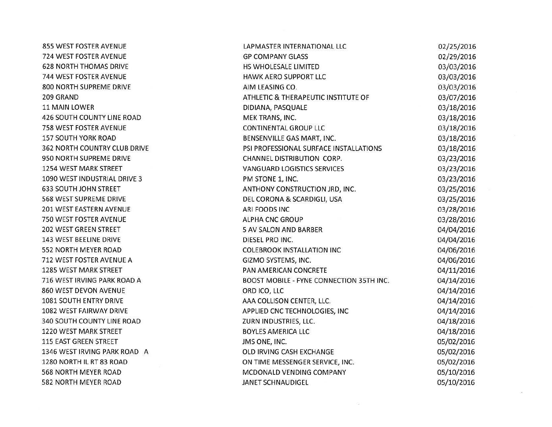| 855 WEST FOSTER AVENUE            | LAPMASTER INTERNATIONAL LLC              | 02/25/2016 |
|-----------------------------------|------------------------------------------|------------|
| 724 WEST FOSTER AVENUE            | <b>GP COMPANY GLASS</b>                  | 02/29/2016 |
| <b>628 NORTH THOMAS DRIVE</b>     | HS WHOLESALE LIMITED                     | 03/03/2016 |
| 744 WEST FOSTER AVENUE            | HAWK AERO SUPPORT LLC                    | 03/03/2016 |
| 800 NORTH SUPREME DRIVE           | AIM LEASING CO.                          | 03/03/2016 |
| 209 GRAND                         | ATHLETIC & THERAPEUTIC INSTITUTE OF      | 03/07/2016 |
| 11 MAIN LOWER                     | DIDIANA, PASQUALE                        | 03/18/2016 |
| 426 SOUTH COUNTY LINE ROAD        | MEK TRANS, INC.                          | 03/18/2016 |
| 758 WEST FOSTER AVENUE            | <b>CONTINENTAL GROUP LLC</b>             | 03/18/2016 |
| <b>157 SOUTH YORK ROAD</b>        | BENSENVILLE GAS MART, INC.               | 03/18/2016 |
| 362 NORTH COUNTRY CLUB DRIVE      | PSI PROFESSIONAL SURFACE INSTALLATIONS   | 03/18/2016 |
| 950 NORTH SUPREME DRIVE           | CHANNEL DISTRIBUTION CORP.               | 03/23/2016 |
| 1254 WEST MARK STREET             | VANGUARD LOGISTICS SERVICES              | 03/23/2016 |
| 1090 WEST INDUSTRIAL DRIVE 3      | PM STONE 1, INC.                         | 03/23/2016 |
| <b>633 SOUTH JOHN STREET</b>      | ANTHONY CONSTRUCTION JRD, INC.           | 03/25/2016 |
| 568 WEST SUPREME DRIVE            | DEL CORONA & SCARDIGLI, USA              | 03/25/2016 |
| 201 WEST EASTERN AVENUE           | ARI FOODS INC                            | 03/28/2016 |
| 750 WEST FOSTER AVENUE            | <b>ALPHA CNC GROUP</b>                   | 03/28/2016 |
| 202 WEST GREEN STREET             | <b>5 AV SALON AND BARBER</b>             | 04/04/2016 |
| 143 WEST BEELINE DRIVE            | DIESEL PRO INC.                          | 04/04/2016 |
| 552 NORTH MEYER ROAD              | <b>COLEBROOK INSTALLATION INC</b>        | 04/06/2016 |
| 712 WEST FOSTER AVENUE A          | GIZMO SYSTEMS, INC.                      | 04/06/2016 |
| 1285 WEST MARK STREET             | PAN AMERICAN CONCRETE                    | 04/11/2016 |
| 716 WEST IRVING PARK ROAD A       | BOOST MOBILE - FYNE CONNECTION 35TH INC. | 04/14/2016 |
| 860 WEST DEVON AVENUE             | ORD ICO, LLC                             | 04/14/2016 |
| 1081 SOUTH ENTRY DRIVE            | AAA COLLISON CENTER, LLC.                | 04/14/2016 |
| 1082 WEST FAIRWAY DRIVE           | APPLIED CNC TECHNOLOGIES, INC            | 04/14/2016 |
| <b>340 SOUTH COUNTY LINE ROAD</b> | ZURN INDUSTRIES, LLC.                    | 04/18/2016 |
| 1220 WEST MARK STREET             | <b>BOYLES AMERICA LLC</b>                | 04/18/2016 |
| <b>115 EAST GREEN STREET</b>      | JMS ONE, INC.                            | 05/02/2016 |
| 1346 WEST IRVING PARK ROAD A      | OLD IRVING CASH EXCHANGE                 | 05/02/2016 |
| 1280 NORTH IL RT 83 ROAD          | ON TIME MESSENGER SERVICE, INC.          | 05/02/2016 |
| 568 NORTH MEYER ROAD              | MCDONALD VENDING COMPANY                 | 05/10/2016 |
| <b>582 NORTH MEYER ROAD</b>       | <b>JANET SCHNAUDIGEL</b>                 | 05/10/2016 |

 $\lceil \frac{1}{2} \rceil$ 

 $\mathcal{S}$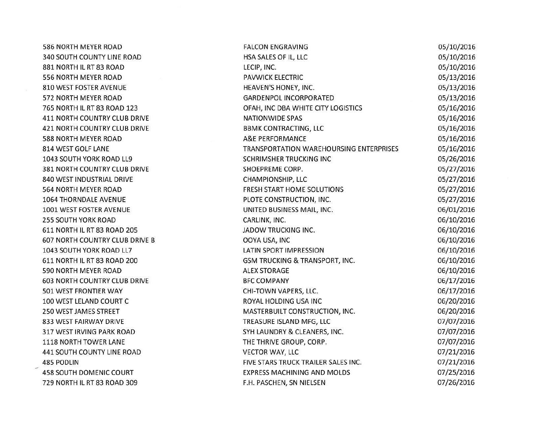| 586 NORTH MEYER ROAD                  | <b>FALCON ENGRAVING</b>                        | 05/10/2016 |
|---------------------------------------|------------------------------------------------|------------|
| <b>340 SOUTH COUNTY LINE ROAD</b>     | HSA SALES OF IL, LLC                           | 05/10/2016 |
| 881 NORTH IL RT 83 ROAD               | LECIP, INC.                                    | 05/10/2016 |
| 556 NORTH MEYER ROAD                  | <b>PAVWICK ELECTRIC</b>                        | 05/13/2016 |
| 810 WEST FOSTER AVENUE                | HEAVEN'S HONEY, INC.                           | 05/13/2016 |
| 572 NORTH MEYER ROAD                  | <b>GARDENPOL INCORPORATED</b>                  | 05/13/2016 |
| 765 NORTH IL RT 83 ROAD 123           | OFAH, INC DBA WHITE CITY LOGISTICS             | 05/16/2016 |
| <b>411 NORTH COUNTRY CLUB DRIVE</b>   | <b>NATIONWIDE SPAS</b>                         | 05/16/2016 |
| 421 NORTH COUNTRY CLUB DRIVE          | <b>BBMK CONTRACTING, LLC</b>                   | 05/16/2016 |
| 588 NORTH MEYER ROAD                  | <b>A&amp;E PERFORMANCE</b>                     | 05/16/2016 |
| 814 WEST GOLF LANE                    | <b>TRANSPORTATION WAREHOURSING ENTERPRISES</b> | 05/16/2016 |
| 1043 SOUTH YORK ROAD LL9              | <b>SCHRIMSHER TRUCKING INC</b>                 | 05/26/2016 |
| 381 NORTH COUNTRY CLUB DRIVE          | SHOEPREME CORP.                                | 05/27/2016 |
| 840 WEST INDUSTRIAL DRIVE             | CHAMPIONSHIP, LLC                              | 05/27/2016 |
| 564 NORTH MEYER ROAD                  | FRESH START HOME SOLUTIONS                     | 05/27/2016 |
| <b>1064 THORNDALE AVENUE</b>          | PLOTE CONSTRUCTION, INC.                       | 05/27/2016 |
| 1001 WEST FOSTER AVENUE               | UNITED BUSINESS MAIL, INC.                     | 06/01/2016 |
| 255 SOUTH YORK ROAD                   | CARLINK, INC.                                  | 06/10/2016 |
| 611 NORTH IL RT 83 ROAD 205           | JADOW TRUCKING INC.                            | 06/10/2016 |
| <b>607 NORTH COUNTRY CLUB DRIVE B</b> | OOYA USA, INC                                  | 06/10/2016 |
| 1043 SOUTH YORK ROAD LL7              | LATIN SPORT IMPRESSION                         | 06/10/2016 |
| 611 NORTH IL RT 83 ROAD 200           | GSM TRUCKING & TRANSPORT, INC.                 | 06/10/2016 |
| 590 NORTH MEYER ROAD                  | <b>ALEX STORAGE</b>                            | 06/10/2016 |
| <b>603 NORTH COUNTRY CLUB DRIVE</b>   | <b>BFC COMPANY</b>                             | 06/17/2016 |
| 501 WEST FRONTIER WAY                 | CHI-TOWN VAPERS, LLC.                          | 06/17/2016 |
| 100 WEST LELAND COURT C               | ROYAL HOLDING USA INC                          | 06/20/2016 |
| 250 WEST JAMES STREET                 | MASTERBUILT CONSTRUCTION, INC.                 | 06/20/2016 |
| 833 WEST FAIRWAY DRIVE                | TREASURE ISLAND MFG, LLC                       | 07/07/2016 |
| 317 WEST IRVING PARK ROAD             | SYH LAUNDRY & CLEANERS, INC.                   | 07/07/2016 |
| 1118 NORTH TOWER LANE                 | THE THRIVE GROUP, CORP.                        | 07/07/2016 |
| 441 SOUTH COUNTY LINE ROAD            | <b>VECTOR WAY, LLC</b>                         | 07/21/2016 |
| 485 PODLIN                            | FIVE STARS TRUCK TRAILER SALES INC.            | 07/21/2016 |
| 458 SOUTH DOMENIC COURT               | <b>EXPRESS MACHINING AND MOLDS</b>             | 07/25/2016 |
| 729 NORTH IL RT 83 ROAD 309           | F.H. PASCHEN, SN NIELSEN                       | 07/26/2016 |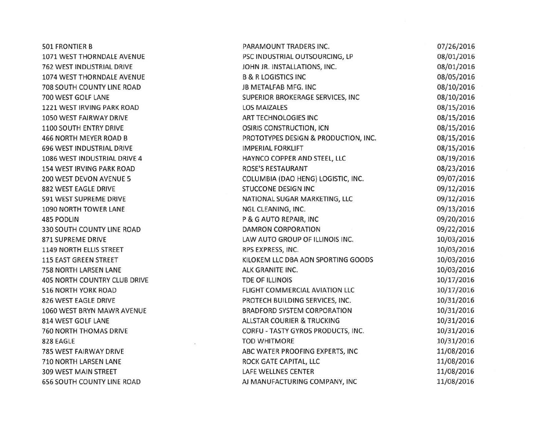| <b>501 FRONTIER B</b>               | PARAMOUNT TRADERS INC.                | 07/26/2016 |
|-------------------------------------|---------------------------------------|------------|
| 1071 WEST THORNDALE AVENUE          | PSC INDUSTRIAL OUTSOURCING, LP        | 08/01/2016 |
| 762 WEST INDUSTRIAL DRIVE           | JOHN JR. INSTALLATIONS, INC.          | 08/01/2016 |
| 1074 WEST THORNDALE AVENUE          | <b>B &amp; R LOGISTICS INC</b>        | 08/05/2016 |
| 708 SOUTH COUNTY LINE ROAD          | JB METALFAB MFG. INC                  | 08/10/2016 |
| 700 WEST GOLF LANE                  | SUPERIOR BROKERAGE SERVICES, INC      | 08/10/2016 |
| 1221 WEST IRVING PARK ROAD          | <b>LOS MAIZALES</b>                   | 08/15/2016 |
| 1050 WEST FAIRWAY DRIVE             | ART TECHNOLOGIES INC                  | 08/15/2016 |
| 1100 SOUTH ENTRY DRIVE              | OSIRIS CONSTRUCTION, ICN              | 08/15/2016 |
| 466 NORTH MEYER ROAD B              | PROTOTYPES DESIGN & PRODUCTION, INC.  | 08/15/2016 |
| <b>696 WEST INDUSTRIAL DRIVE</b>    | <b>IMPERIAL FORKLIFT</b>              | 08/15/2016 |
| 1086 WEST INDUSTRIAL DRIVE 4        | HAYNCO COPPER AND STEEL, LLC          | 08/19/2016 |
| <b>154 WEST IRVING PARK ROAD</b>    | ROSE'S RESTAURANT                     | 08/23/2016 |
| 200 WEST DEVON AVENUE 5             | COLUMBIA (DAO HENG) LOGISTIC, INC.    | 09/07/2016 |
| 882 WEST EAGLE DRIVE                | <b>STUCCONE DESIGN INC</b>            | 09/12/2016 |
| 591 WEST SUPREME DRIVE              | NATIONAL SUGAR MARKETING, LLC         | 09/12/2016 |
| 1090 NORTH TOWER LANE               | NGL CLEANING, INC.                    | 09/13/2016 |
| <b>485 PODLIN</b>                   | P & G AUTO REPAIR, INC                | 09/20/2016 |
| 330 SOUTH COUNTY LINE ROAD          | <b>DAMRON CORPORATION</b>             | 09/22/2016 |
| <b>871 SUPREME DRIVE</b>            | LAW AUTO GROUP OF ILLINOIS INC.       | 10/03/2016 |
| 1149 NORTH ELLIS STREET             | RPS EXPRESS, INC.                     | 10/03/2016 |
| <b>115 EAST GREEN STREET</b>        | KILOKEM LLC DBA AON SPORTING GOODS    | 10/03/2016 |
| 758 NORTH LARSEN LANE               | ALK GRANITE INC.                      | 10/03/2016 |
| <b>405 NORTH COUNTRY CLUB DRIVE</b> | TDE OF ILLINOIS                       | 10/17/2016 |
| <b>516 NORTH YORK ROAD</b>          | FLIGHT COMMERCIAL AVIATION LLC        | 10/17/2016 |
| 826 WEST EAGLE DRIVE                | PROTECH BUILDING SERVICES, INC.       | 10/31/2016 |
| 1060 WEST BRYN MAWR AVENUE          | <b>BRADFORD SYSTEM CORPORATION</b>    | 10/31/2016 |
| 814 WEST GOLF LANE                  | <b>ALLSTAR COURIER &amp; TRUCKING</b> | 10/31/2016 |
| 760 NORTH THOMAS DRIVE              | CORFU - TASTY GYROS PRODUCTS, INC.    | 10/31/2016 |
| 828 EAGLE                           | <b>TOD WHITMORE</b>                   | 10/31/2016 |
| 785 WEST FAIRWAY DRIVE              | ABC WATER PROOFING EXPERTS, INC       | 11/08/2016 |
| 710 NORTH LARSEN LANE               | ROCK GATE CAPITAL, LLC                | 11/08/2016 |
| 309 WEST MAIN STREET                | LAFE WELLNES CENTER                   | 11/08/2016 |
| <b>656 SOUTH COUNTY LINE ROAD</b>   | AJ MANUFACTURING COMPANY, INC         | 11/08/2016 |
|                                     |                                       |            |